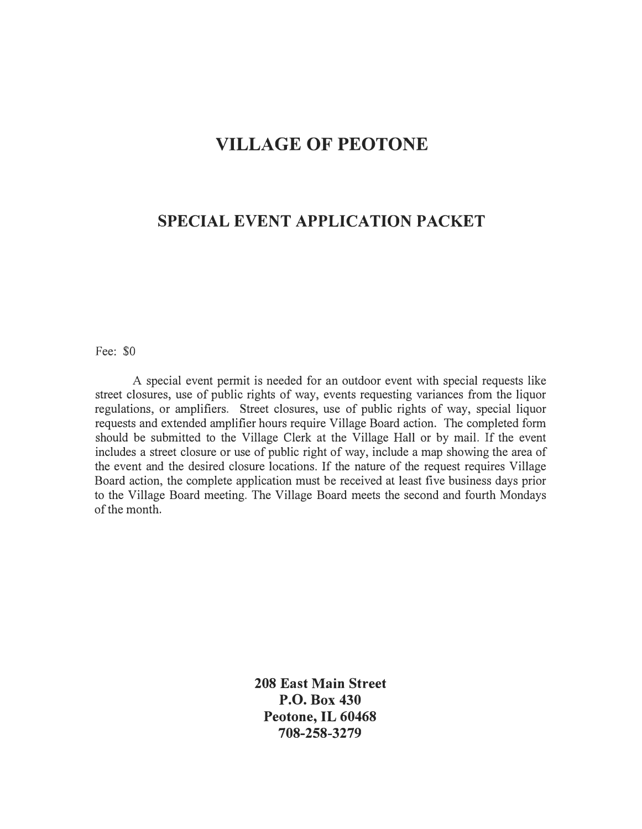## **VILLAGE OF PEOTONE**

## **SPECIAL EVENT APPLICATION PACKET**

Fee: \$0

A special event permit is needed for an outdoor event with special requests like street closures, use of public rights of way, events requesting variances from the liquor regulations, or amplifiers. Street closures, use of public rights of way, special liquor requests and extended amplifier hours require Village Board action. The completed form should be submitted to the Village Clerk at the Village Hall or by mail. If the event includes a street closure or use of public right of way, include a map showing the area of the event and the desired closure locations. If the nature of the request requires Village Board action, the complete application must be received at least five business days prior to the Village Board meeting. The Village Board meets the second and fourth Mondays of the month.

> **208 East Main Street P.O. Box 430 Peotone, IL 60468 708-258-3279**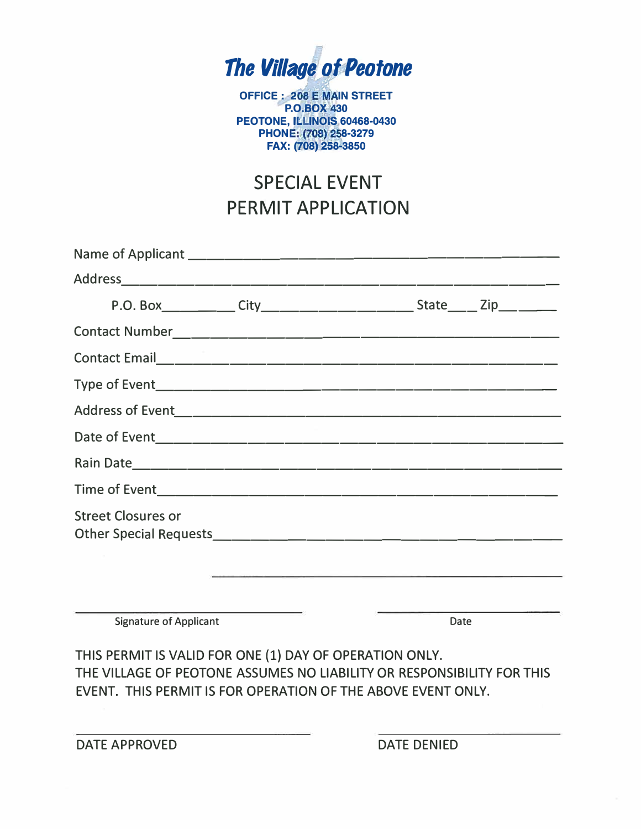

**OFFICE : 208 E MAIN STREET P.O.BOX 30 PEOTONE, l ltlNOIS 60468-0430 l PHONE: (708) 258-3279 FAX: (708) 258-3850** 

## SPECIAL EVENT PERMIT APPLICATION

| <b>Street Closures or</b>                                                                                                                                    |  |      |  |
|--------------------------------------------------------------------------------------------------------------------------------------------------------------|--|------|--|
| <b>Signature of Applicant</b><br>$\sim$ 0.000 $\sim$ 0.000 $\sim$ 0.000 $\sim$ 0.000 $\sim$ 0.000 $\sim$ 0.000 $\sim$ 0.000 $\sim$ 0.000 $\sim$ 0.000 $\sim$ |  | Date |  |

THIS PERMIT IS VALID FOR ONE (1) DAY OF OPERATION ONLY. THE VILLAGE OF PEOTONE ASSUMES NO LIABILITY OR RESPONSIBILITY FOR THIS EVENT. THIS PERMIT IS FOR OPERATION OF THE ABOVE EVENT ONLY.

DATE APPROVED DATE DENIED